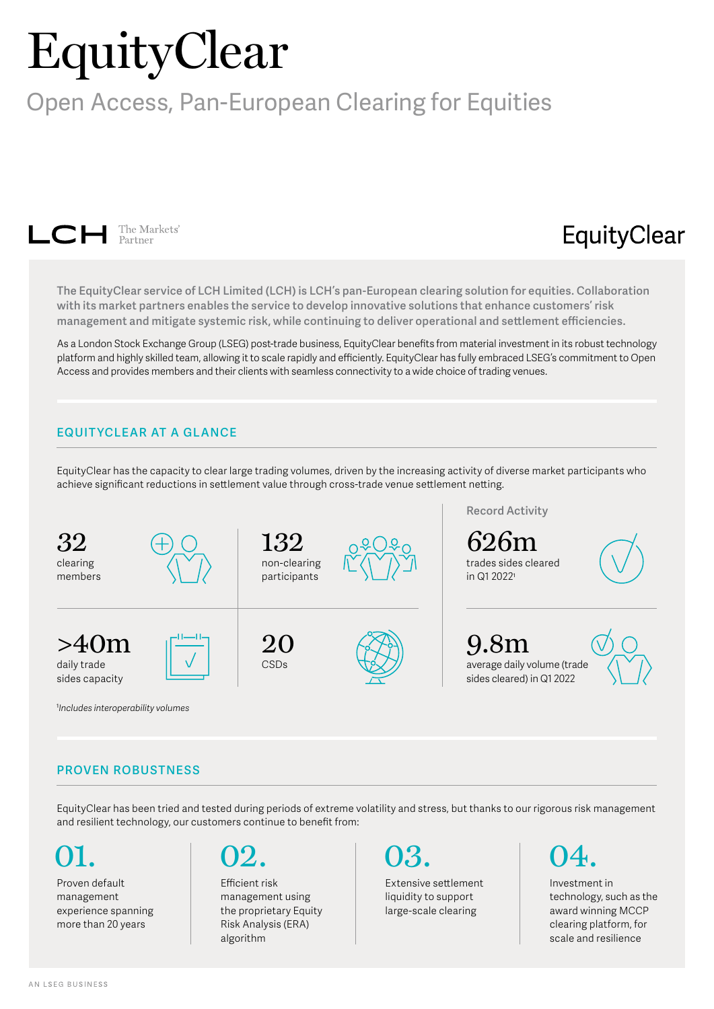# EquityClear

## Open Access, Pan-European Clearing for Equities



## EquityClear

**The EquityClear service of LCH Limited (LCH) is LCH's pan-European clearing solution for equities. Collaboration with its market partners enables the service to develop innovative solutions that enhance customers' risk management and mitigate systemic risk, while continuing to deliver operational and settlement efficiencies.** 

As a London Stock Exchange Group (LSEG) post-trade business, EquityClear benefits from material investment in its robust technology platform and highly skilled team, allowing it to scale rapidly and efficiently. EquityClear has fully embraced LSEG's commitment to Open Access and provides members and their clients with seamless connectivity to a wide choice of trading venues.

### **EQUIT YCLEAR AT A GLANCE**

EquityClear has the capacity to clear large trading volumes, driven by the increasing activity of diverse market participants who achieve significant reductions in settlement value through cross-trade venue settlement netting.



#### **PROVEN ROBUSTNESS**

EquityClear has been tried and tested during periods of extreme volatility and stress, but thanks to our rigorous risk management and resilient technology, our customers continue to benefit from:

Proven default management experience spanning more than 20 years 01.



Efficient risk management using the proprietary Equity Risk Analysis (ERA) algorithm

03.

Extensive settlement liquidity to support large-scale clearing



Investment in technology, such as the award winning MCCP clearing platform, for scale and resilience